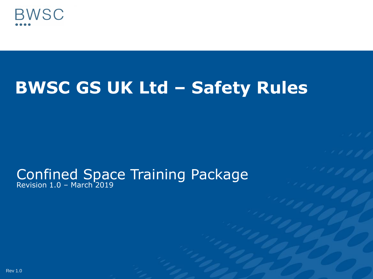

# **BWSC GS UK Ltd – Safety Rules**

### Confined Space Training Package Revision 1.0 – March 2019

Rev 1.0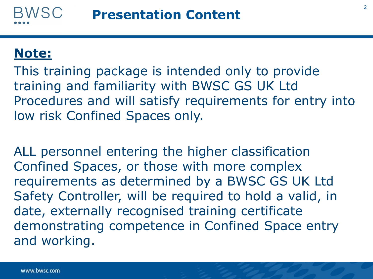### **Note:**

This training package is intended only to provide training and familiarity with BWSC GS UK Ltd Procedures and will satisfy requirements for entry into low risk Confined Spaces only.

ALL personnel entering the higher classification Confined Spaces, or those with more complex requirements as determined by a BWSC GS UK Ltd Safety Controller, will be required to hold a valid, in date, externally recognised training certificate demonstrating competence in Confined Space entry and working.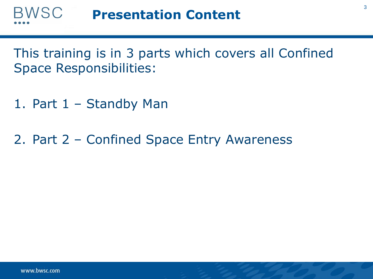This training is in 3 parts which covers all Confined Space Responsibilities:

- 1. Part 1 Standby Man
- 2. Part 2 Confined Space Entry Awareness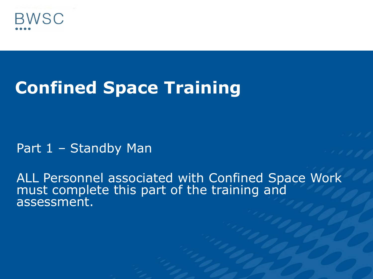

# **Confined Space Training**

### Part 1 – Standby Man

ALL Personnel associated with Confined Space Work must complete this part of the training and assessment.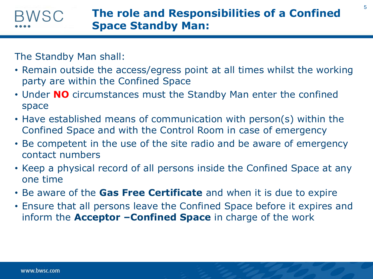#### **The role and Responsibilities of a Confined**  BWSC **Space Standby Man:**

The Standby Man shall:

- Remain outside the access/egress point at all times whilst the working party are within the Confined Space
- Under **NO** circumstances must the Standby Man enter the confined space
- Have established means of communication with person(s) within the Confined Space and with the Control Room in case of emergency
- Be competent in the use of the site radio and be aware of emergency contact numbers
- Keep a physical record of all persons inside the Confined Space at any one time
- Be aware of the **Gas Free Certificate** and when it is due to expire
- Ensure that all persons leave the Confined Space before it expires and inform the **Acceptor –Confined Space** in charge of the work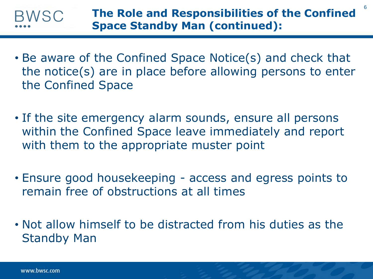

6

- Be aware of the Confined Space Notice(s) and check that the notice(s) are in place before allowing persons to enter the Confined Space
- If the site emergency alarm sounds, ensure all persons within the Confined Space leave immediately and report with them to the appropriate muster point
- Ensure good housekeeping access and egress points to remain free of obstructions at all times
- Not allow himself to be distracted from his duties as the Standby Man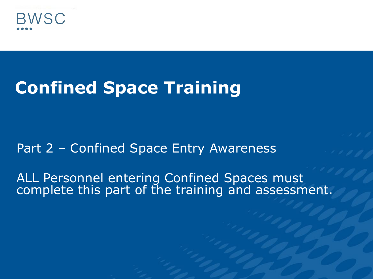

# **Confined Space Training**

### Part 2 – Confined Space Entry Awareness

ALL Personnel entering Confined Spaces must complete this part of the training and assessment.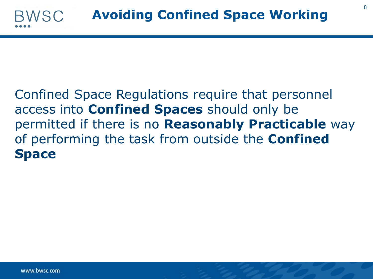### Confined Space Regulations require that personnel access into **Confined Spaces** should only be permitted if there is no **Reasonably Practicable** way of performing the task from outside the **Confined Space**

3WSC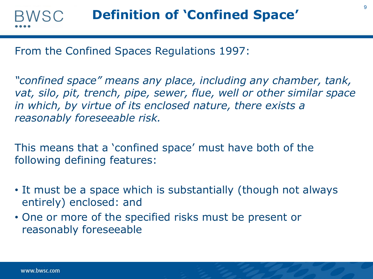From the Confined Spaces Regulations 1997:

*"confined space" means any place, including any chamber, tank, vat, silo, pit, trench, pipe, sewer, flue, well or other similar space in which, by virtue of its enclosed nature, there exists a reasonably foreseeable risk.*

This means that a 'confined space' must have both of the following defining features:

- It must be a space which is substantially (though not always entirely) enclosed: and
- One or more of the specified risks must be present or reasonably foreseeable

BWSC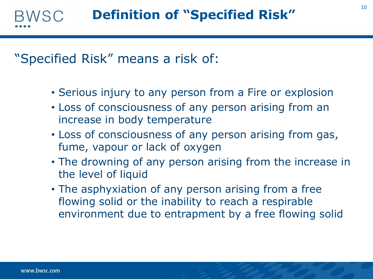#### **Definition of "Specified Risk"**WSC

"Specified Risk" means a risk of:

- Serious injury to any person from a Fire or explosion
- Loss of consciousness of any person arising from an increase in body temperature
- Loss of consciousness of any person arising from gas, fume, vapour or lack of oxygen
- The drowning of any person arising from the increase in the level of liquid
- The asphyxiation of any person arising from a free flowing solid or the inability to reach a respirable environment due to entrapment by a free flowing solid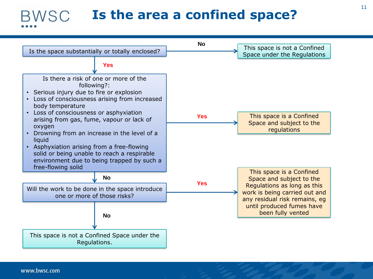# **Is the area a confined space?**

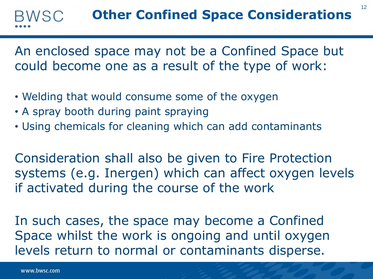12

An enclosed space may not be a Confined Space but could become one as a result of the type of work:

- Welding that would consume some of the oxygen
- A spray booth during paint spraying
- Using chemicals for cleaning which can add contaminants

Consideration shall also be given to Fire Protection systems (e.g. Inergen) which can affect oxygen levels if activated during the course of the work

In such cases, the space may become a Confined Space whilst the work is ongoing and until oxygen levels return to normal or contaminants disperse.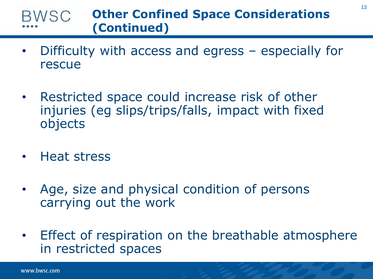#### **BWSC Other Confined Space Considerations (Continued)**

- Difficulty with access and egress especially for rescue
- Restricted space could increase risk of other injuries (eg slips/trips/falls, impact with fixed objects
- Heat stress
- Age, size and physical condition of persons carrying out the work
- Effect of respiration on the breathable atmosphere in restricted spaces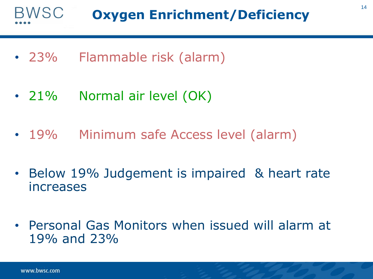- 23% Flammable risk (alarm)
- 21% Normal air level (OK)
- 19% Minimum safe Access level (alarm)
- Below 19% Judgement is impaired & heart rate increases
- Personal Gas Monitors when issued will alarm at 19% and 23%

www.bwsc.com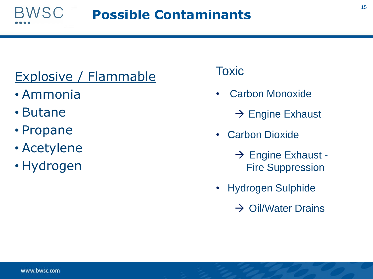# **Possible Contaminants**

# Explosive / Flammable

• Ammonia

NSC

- Butane
- Propane
- Acetylene
- Hydrogen

### **Toxic**

- Carbon Monoxide
	- $\rightarrow$  Engine Exhaust
- Carbon Dioxide
	- $\rightarrow$  Engine Exhaust -Fire Suppression
- Hydrogen Sulphide
	- $\rightarrow$  Oil/Water Drains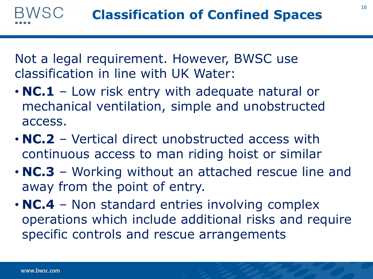Not a legal requirement. However, BWSC use classification in line with UK Water:

- **NC.1** Low risk entry with adequate natural or mechanical ventilation, simple and unobstructed access.
- **NC.2** Vertical direct unobstructed access with continuous access to man riding hoist or similar
- **NC.3** Working without an attached rescue line and away from the point of entry.
- **NC.4** Non standard entries involving complex operations which include additional risks and require specific controls and rescue arrangements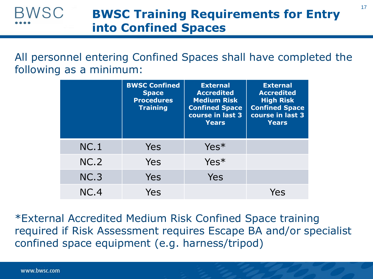### /SC **BWSC Training Requirements for Entry into Confined Spaces**

All personnel entering Confined Spaces shall have completed the following as a minimum:

|             | <b>BWSC Confined</b><br><b>Space</b><br><b>Procedures</b><br><b>Training</b> | <b>External</b><br><b>Accredited</b><br><b>Medium Risk</b><br><b>Confined Space</b><br>course in last 3<br><b>Years</b> | <b>External</b><br><b>Accredited</b><br><b>High Risk</b><br><b>Confined Space</b><br>course in last 3<br><b>Years</b> |
|-------------|------------------------------------------------------------------------------|-------------------------------------------------------------------------------------------------------------------------|-----------------------------------------------------------------------------------------------------------------------|
| NC.1        | Yes                                                                          | $Yes*$                                                                                                                  |                                                                                                                       |
| <b>NC.2</b> | Yes                                                                          | $Yes*$                                                                                                                  |                                                                                                                       |
| NC.3        | Yes                                                                          | Yes                                                                                                                     |                                                                                                                       |
| NC.4        | Yes                                                                          |                                                                                                                         | Yes                                                                                                                   |

\*External Accredited Medium Risk Confined Space training required if Risk Assessment requires Escape BA and/or specialist confined space equipment (e.g. harness/tripod)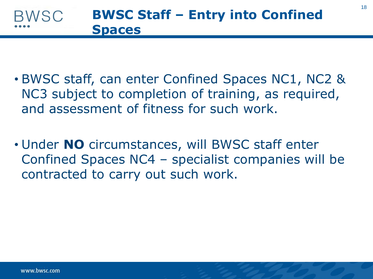- BWSC staff, can enter Confined Spaces NC1, NC2 & NC3 subject to completion of training, as required, and assessment of fitness for such work.
- Under **NO** circumstances, will BWSC staff enter Confined Spaces NC4 – specialist companies will be contracted to carry out such work.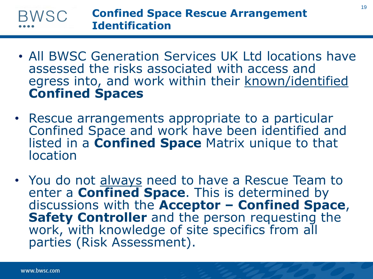### **Confined Space Rescue Arrangement Identification**

- All BWSC Generation Services UK Ltd locations have assessed the risks associated with access and egress into, and work within their known/identified **Confined Spaces**
- Rescue arrangements appropriate to a particular Confined Space and work have been identified and listed in a **Confined Space** Matrix unique to that location
- You do not always need to have a Rescue Team to enter a **Confined Space**. This is determined by discussions with the **Acceptor – Confined Space**, **Safety Controller** and the person requesting the work, with knowledge of site specifics from all parties (Risk Assessment).

**BWSC**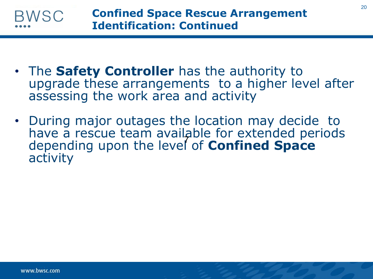

- The **Safety Controller** has the authority to upgrade these arrangements to a higher level after assessing the work area and activity
- During major outages the location may decide to have a rescue team available for extended periods depending upon the level of **Confined Space** activity 7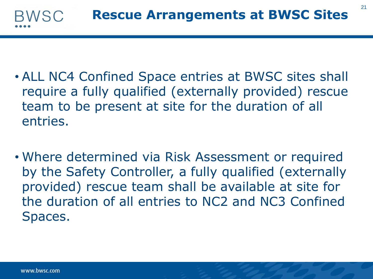21

- ALL NC4 Confined Space entries at BWSC sites shall require a fully qualified (externally provided) rescue team to be present at site for the duration of all entries.
- Where determined via Risk Assessment or required by the Safety Controller, a fully qualified (externally provided) rescue team shall be available at site for the duration of all entries to NC2 and NC3 Confined Spaces.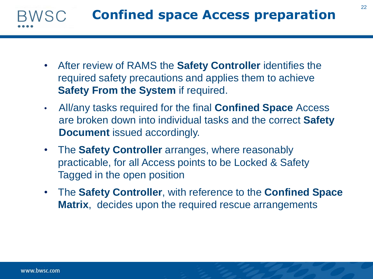- **Confined space Access preparation** WSC
	- After review of RAMS the **Safety Controller** identifies the required safety precautions and applies them to achieve **Safety From the System if required.**
	- All/any tasks required for the final **Confined Space** Access are broken down into individual tasks and the correct **Safety Document** issued accordingly.
	- The **Safety Controller** arranges, where reasonably practicable, for all Access points to be Locked & Safety Tagged in the open position
	- The **Safety Controller**, with reference to the **Confined Space Matrix**, decides upon the required rescue arrangements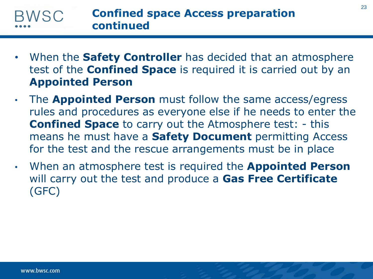#### **Confined space Access preparation BWSC continued**

- When the **Safety Controller** has decided that an atmosphere test of the **Confined Space** is required it is carried out by an **Appointed Person**
- The **Appointed Person** must follow the same access/egress rules and procedures as everyone else if he needs to enter the **Confined Space** to carry out the Atmosphere test: - this means he must have a **Safety Document** permitting Access for the test and the rescue arrangements must be in place
- When an atmosphere test is required the **Appointed Person**  will carry out the test and produce a **Gas Free Certificate**  (GFC)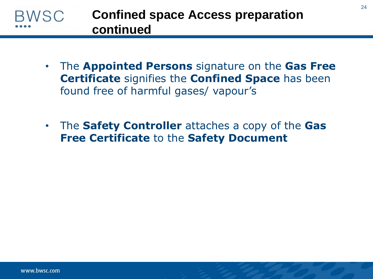

- The **Appointed Persons** signature on the **Gas Free Certificate** signifies the **Confined Space** has been found free of harmful gases/ vapour's
- The **Safety Controller** attaches a copy of the **Gas Free Certificate** to the **Safety Document**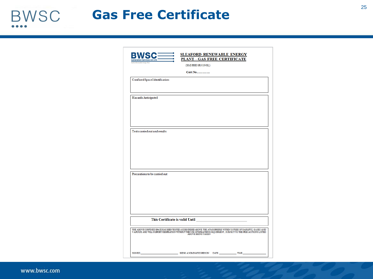| <b>BWSC</b> |  | <b>Gas Free Certificate</b> |
|-------------|--|-----------------------------|
| .           |  |                             |

|                                                                                                                                                                                                                                   | <b>SLEAFORD RENEWABLE ENERGY</b><br>PLANT - GAS FREE CERTIFICATE |  |
|-----------------------------------------------------------------------------------------------------------------------------------------------------------------------------------------------------------------------------------|------------------------------------------------------------------|--|
| ion Services UK LTD<br>nergy Plan                                                                                                                                                                                                 | (SMI/HSE/SR/019/SL)                                              |  |
|                                                                                                                                                                                                                                   | <b>Cert No</b>                                                   |  |
| Confined Space I dentification                                                                                                                                                                                                    |                                                                  |  |
|                                                                                                                                                                                                                                   |                                                                  |  |
|                                                                                                                                                                                                                                   |                                                                  |  |
| Hazards Anticipated                                                                                                                                                                                                               |                                                                  |  |
|                                                                                                                                                                                                                                   |                                                                  |  |
|                                                                                                                                                                                                                                   |                                                                  |  |
|                                                                                                                                                                                                                                   |                                                                  |  |
|                                                                                                                                                                                                                                   |                                                                  |  |
| Tests carried out and results                                                                                                                                                                                                     |                                                                  |  |
|                                                                                                                                                                                                                                   |                                                                  |  |
|                                                                                                                                                                                                                                   |                                                                  |  |
|                                                                                                                                                                                                                                   |                                                                  |  |
|                                                                                                                                                                                                                                   |                                                                  |  |
|                                                                                                                                                                                                                                   |                                                                  |  |
| Precautions to be carried out                                                                                                                                                                                                     |                                                                  |  |
|                                                                                                                                                                                                                                   |                                                                  |  |
|                                                                                                                                                                                                                                   |                                                                  |  |
|                                                                                                                                                                                                                                   |                                                                  |  |
|                                                                                                                                                                                                                                   |                                                                  |  |
|                                                                                                                                                                                                                                   |                                                                  |  |
|                                                                                                                                                                                                                                   | This Certificate is valid Until                                  |  |
|                                                                                                                                                                                                                                   |                                                                  |  |
| THE ABOVE CONFINED SPACEHAS BEEN TESTED AS DESCRIBED ABOVE. THE ATMOSPHERE WITHIN IS FREE OF HARMFUL GASES AND<br>VAPOURS AND WILL SUPPORT RESPIRATION WITHOUT THE USE OF BREATHING EQUIPMENT , SUBJECT TO THE PRECAUTIONS LISTED | ABOVE BEING TAKEN                                                |  |
|                                                                                                                                                                                                                                   |                                                                  |  |
|                                                                                                                                                                                                                                   |                                                                  |  |
|                                                                                                                                                                                                                                   |                                                                  |  |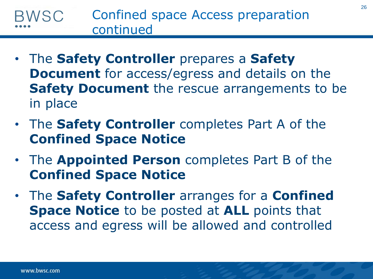### Confined space Access preparation WSC continued

- The **Safety Controller** prepares a **Safety Document** for access/egress and details on the **Safety Document** the rescue arrangements to be in place
- The **Safety Controller** completes Part A of the **Confined Space Notice**
- The **Appointed Person** completes Part B of the **Confined Space Notice**
- The **Safety Controller** arranges for a **Confined Space Notice** to be posted at **ALL** points that access and egress will be allowed and controlled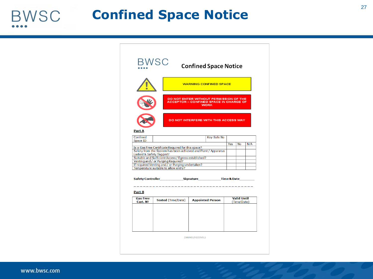### **Confined Space Notice**BWSC

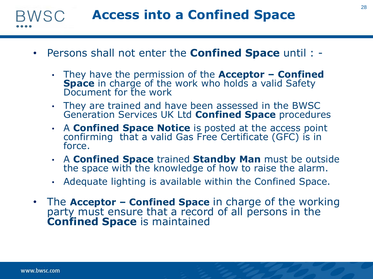**VSC** 

- **Access into a Confined Space**
- Persons shall not enter the **Confined Space** until :
	- They have the permission of the **Acceptor – Confined Space** in charge of the work who holds a valid Safety Document for the work
	- They are trained and have been assessed in the BWSC Generation Services UK Ltd **Confined Space** procedures
	- A **Confined Space Notice** is posted at the access point confirming that a valid Gas Free Certificate (GFC) is in force.
	- A **Confined Space** trained **Standby Man** must be outside the space with the knowledge of how to raise the alarm.
	- Adequate lighting is available within the Confined Space.
- The **Acceptor – Confined Space** in charge of the working party must ensure that a record of all persons in the **Confined Space** is maintained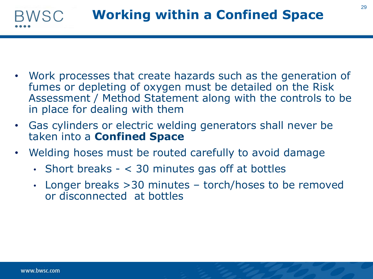#### **Working within a Confined Space**BWSC

- Work processes that create hazards such as the generation of fumes or depleting of oxygen must be detailed on the Risk Assessment / Method Statement along with the controls to be in place for dealing with them
- Gas cylinders or electric welding generators shall never be taken into a **Confined Space**
- Welding hoses must be routed carefully to avoid damage
	- Short breaks < 30 minutes gas off at bottles
	- Longer breaks >30 minutes torch/hoses to be removed or disconnected at bottles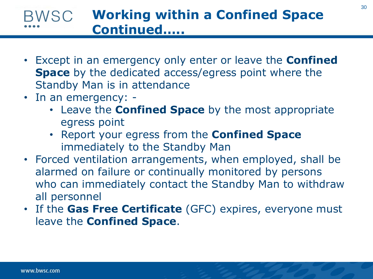### **Working within a Confined Space**  BWSC. **Continued…..**

- Except in an emergency only enter or leave the **Confined Space** by the dedicated access/egress point where the Standby Man is in attendance
- In an emergency:
	- Leave the **Confined Space** by the most appropriate egress point
	- Report your egress from the **Confined Space** immediately to the Standby Man
- Forced ventilation arrangements, when employed, shall be alarmed on failure or continually monitored by persons who can immediately contact the Standby Man to withdraw all personnel
- If the **Gas Free Certificate** (GFC) expires, everyone must leave the **Confined Space**.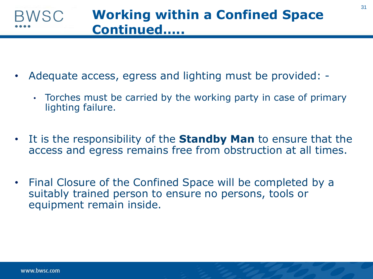- Adequate access, egress and lighting must be provided:
	- Torches must be carried by the working party in case of primary lighting failure.
- It is the responsibility of the **Standby Man** to ensure that the access and egress remains free from obstruction at all times.
- Final Closure of the Confined Space will be completed by a suitably trained person to ensure no persons, tools or equipment remain inside.